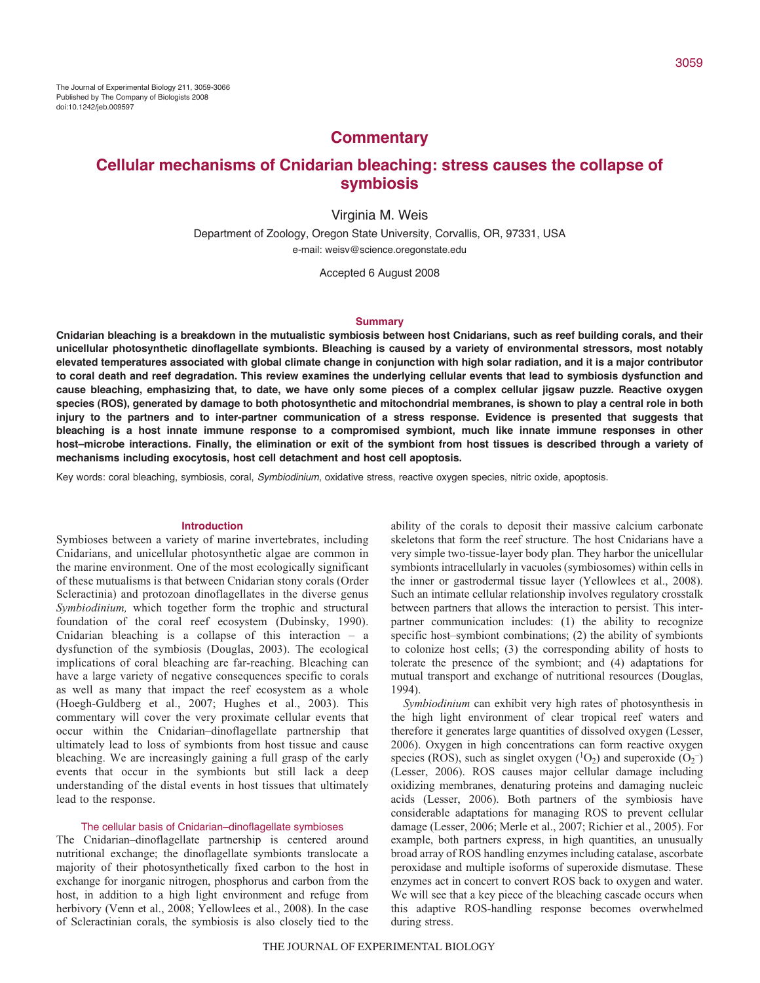# **Commentary**

# **Cellular mechanisms of Cnidarian bleaching: stress causes the collapse of symbiosis**

# Virginia M. Weis

Department of Zoology, Oregon State University, Corvallis, OR, 97331, USA e-mail: weisv@science.oregonstate.edu

Accepted 6 August 2008

#### **Summary**

**Cnidarian bleaching is a breakdown in the mutualistic symbiosis between host Cnidarians, such as reef building corals, and their unicellular photosynthetic dinoflagellate symbionts. Bleaching is caused by a variety of environmental stressors, most notably elevated temperatures associated with global climate change in conjunction with high solar radiation, and it is a major contributor to coral death and reef degradation. This review examines the underlying cellular events that lead to symbiosis dysfunction and cause bleaching, emphasizing that, to date, we have only some pieces of a complex cellular jigsaw puzzle. Reactive oxygen species (ROS), generated by damage to both photosynthetic and mitochondrial membranes, is shown to play a central role in both injury to the partners and to inter-partner communication of a stress response. Evidence is presented that suggests that bleaching is a host innate immune response to a compromised symbiont, much like innate immune responses in other host–microbe interactions. Finally, the elimination or exit of the symbiont from host tissues is described through a variety of mechanisms including exocytosis, host cell detachment and host cell apoptosis.**

Key words: coral bleaching, symbiosis, coral, Symbiodinium, oxidative stress, reactive oxygen species, nitric oxide, apoptosis.

#### **Introduction**

Symbioses between a variety of marine invertebrates, including Cnidarians, and unicellular photosynthetic algae are common in the marine environment. One of the most ecologically significant of these mutualisms is that between Cnidarian stony corals (Order Scleractinia) and protozoan dinoflagellates in the diverse genus *Symbiodinium,* which together form the trophic and structural foundation of the coral reef ecosystem (Dubinsky, 1990). Cnidarian bleaching is a collapse of this interaction – a dysfunction of the symbiosis (Douglas, 2003). The ecological implications of coral bleaching are far-reaching. Bleaching can have a large variety of negative consequences specific to corals as well as many that impact the reef ecosystem as a whole (Hoegh-Guldberg et al., 2007; Hughes et al., 2003). This commentary will cover the very proximate cellular events that occur within the Cnidarian–dinoflagellate partnership that ultimately lead to loss of symbionts from host tissue and cause bleaching. We are increasingly gaining a full grasp of the early events that occur in the symbionts but still lack a deep understanding of the distal events in host tissues that ultimately lead to the response.

#### The cellular basis of Cnidarian–dinoflagellate symbioses

The Cnidarian–dinoflagellate partnership is centered around nutritional exchange; the dinoflagellate symbionts translocate a majority of their photosynthetically fixed carbon to the host in exchange for inorganic nitrogen, phosphorus and carbon from the host, in addition to a high light environment and refuge from herbivory (Venn et al., 2008; Yellowlees et al., 2008). In the case of Scleractinian corals, the symbiosis is also closely tied to the

ability of the corals to deposit their massive calcium carbonate skeletons that form the reef structure. The host Cnidarians have a very simple two-tissue-layer body plan. They harbor the unicellular symbionts intracellularly in vacuoles (symbiosomes) within cells in the inner or gastrodermal tissue layer (Yellowlees et al., 2008). Such an intimate cellular relationship involves regulatory crosstalk between partners that allows the interaction to persist. This interpartner communication includes: (1) the ability to recognize specific host–symbiont combinations; (2) the ability of symbionts to colonize host cells; (3) the corresponding ability of hosts to tolerate the presence of the symbiont; and (4) adaptations for mutual transport and exchange of nutritional resources (Douglas, 1994).

*Symbiodinium* can exhibit very high rates of photosynthesis in the high light environment of clear tropical reef waters and therefore it generates large quantities of dissolved oxygen (Lesser, 2006). Oxygen in high concentrations can form reactive oxygen species (ROS), such as singlet oxygen  $(^1O_2)$  and superoxide  $(O_2^-)$ (Lesser, 2006). ROS causes major cellular damage including oxidizing membranes, denaturing proteins and damaging nucleic acids (Lesser, 2006). Both partners of the symbiosis have considerable adaptations for managing ROS to prevent cellular damage (Lesser, 2006; Merle et al., 2007; Richier et al., 2005). For example, both partners express, in high quantities, an unusually broad array of ROS handling enzymes including catalase, ascorbate peroxidase and multiple isoforms of superoxide dismutase. These enzymes act in concert to convert ROS back to oxygen and water. We will see that a key piece of the bleaching cascade occurs when this adaptive ROS-handling response becomes overwhelmed during stress.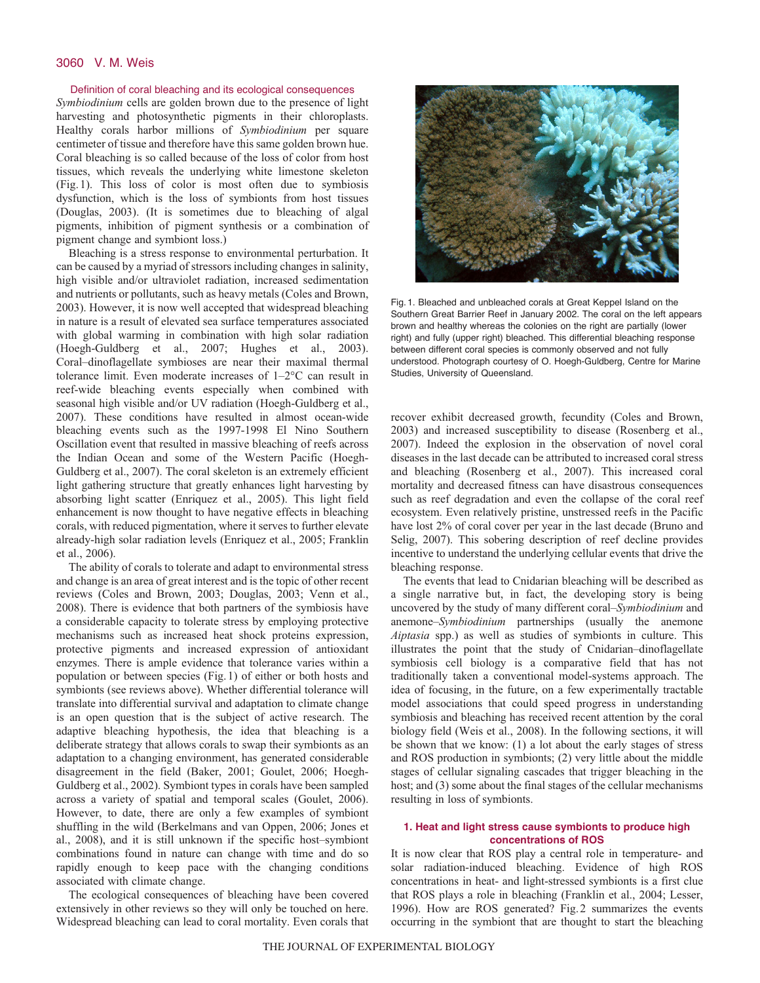### 3060 V. M. Weis

### Definition of coral bleaching and its ecological consequences

*Symbiodinium* cells are golden brown due to the presence of light harvesting and photosynthetic pigments in their chloroplasts. Healthy corals harbor millions of *Symbiodinium* per square centimeter of tissue and therefore have this same golden brown hue. Coral bleaching is so called because of the loss of color from host tissues, which reveals the underlying white limestone skeleton (Fig.1). This loss of color is most often due to symbiosis dysfunction, which is the loss of symbionts from host tissues (Douglas, 2003). (It is sometimes due to bleaching of algal pigments, inhibition of pigment synthesis or a combination of pigment change and symbiont loss.)

Bleaching is a stress response to environmental perturbation. It can be caused by a myriad of stressors including changes in salinity, high visible and/or ultraviolet radiation, increased sedimentation and nutrients or pollutants, such as heavy metals (Coles and Brown, 2003). However, it is now well accepted that widespread bleaching in nature is a result of elevated sea surface temperatures associated with global warming in combination with high solar radiation (Hoegh-Guldberg et al., 2007; Hughes et al., 2003). Coral–dinoflagellate symbioses are near their maximal thermal tolerance limit. Even moderate increases of 1–2°C can result in reef-wide bleaching events especially when combined with seasonal high visible and/or UV radiation (Hoegh-Guldberg et al., 2007). These conditions have resulted in almost ocean-wide bleaching events such as the 1997-1998 El Nino Southern Oscillation event that resulted in massive bleaching of reefs across the Indian Ocean and some of the Western Pacific (Hoegh-Guldberg et al., 2007). The coral skeleton is an extremely efficient light gathering structure that greatly enhances light harvesting by absorbing light scatter (Enriquez et al., 2005). This light field enhancement is now thought to have negative effects in bleaching corals, with reduced pigmentation, where it serves to further elevate already-high solar radiation levels (Enriquez et al., 2005; Franklin et al., 2006).

The ability of corals to tolerate and adapt to environmental stress and change is an area of great interest and is the topic of other recent reviews (Coles and Brown, 2003; Douglas, 2003; Venn et al., 2008). There is evidence that both partners of the symbiosis have a considerable capacity to tolerate stress by employing protective mechanisms such as increased heat shock proteins expression, protective pigments and increased expression of antioxidant enzymes. There is ample evidence that tolerance varies within a population or between species (Fig.1) of either or both hosts and symbionts (see reviews above). Whether differential tolerance will translate into differential survival and adaptation to climate change is an open question that is the subject of active research. The adaptive bleaching hypothesis, the idea that bleaching is a deliberate strategy that allows corals to swap their symbionts as an adaptation to a changing environment, has generated considerable disagreement in the field (Baker, 2001; Goulet, 2006; Hoegh-Guldberg et al., 2002). Symbiont types in corals have been sampled across a variety of spatial and temporal scales (Goulet, 2006). However, to date, there are only a few examples of symbiont shuffling in the wild (Berkelmans and van Oppen, 2006; Jones et al., 2008), and it is still unknown if the specific host–symbiont combinations found in nature can change with time and do so rapidly enough to keep pace with the changing conditions associated with climate change.

The ecological consequences of bleaching have been covered extensively in other reviews so they will only be touched on here. Widespread bleaching can lead to coral mortality. Even corals that



Fig. 1. Bleached and unbleached corals at Great Keppel Island on the Southern Great Barrier Reef in January 2002. The coral on the left appears brown and healthy whereas the colonies on the right are partially (lower right) and fully (upper right) bleached. This differential bleaching response between different coral species is commonly observed and not fully understood. Photograph courtesy of O. Hoegh-Guldberg, Centre for Marine Studies, University of Queensland.

recover exhibit decreased growth, fecundity (Coles and Brown, 2003) and increased susceptibility to disease (Rosenberg et al., 2007). Indeed the explosion in the observation of novel coral diseases in the last decade can be attributed to increased coral stress and bleaching (Rosenberg et al., 2007). This increased coral mortality and decreased fitness can have disastrous consequences such as reef degradation and even the collapse of the coral reef ecosystem. Even relatively pristine, unstressed reefs in the Pacific have lost 2% of coral cover per year in the last decade (Bruno and Selig, 2007). This sobering description of reef decline provides incentive to understand the underlying cellular events that drive the bleaching response.

The events that lead to Cnidarian bleaching will be described as a single narrative but, in fact, the developing story is being uncovered by the study of many different coral–*Symbiodinium* and anemone–*Symbiodinium* partnerships (usually the anemone *Aiptasia* spp.) as well as studies of symbionts in culture. This illustrates the point that the study of Cnidarian–dinoflagellate symbiosis cell biology is a comparative field that has not traditionally taken a conventional model-systems approach. The idea of focusing, in the future, on a few experimentally tractable model associations that could speed progress in understanding symbiosis and bleaching has received recent attention by the coral biology field (Weis et al., 2008). In the following sections, it will be shown that we know: (1) a lot about the early stages of stress and ROS production in symbionts; (2) very little about the middle stages of cellular signaling cascades that trigger bleaching in the host; and (3) some about the final stages of the cellular mechanisms resulting in loss of symbionts.

# **1. Heat and light stress cause symbionts to produce high concentrations of ROS**

It is now clear that ROS play a central role in temperature- and solar radiation-induced bleaching. Evidence of high ROS concentrations in heat- and light-stressed symbionts is a first clue that ROS plays a role in bleaching (Franklin et al., 2004; Lesser, 1996). How are ROS generated? Fig.2 summarizes the events occurring in the symbiont that are thought to start the bleaching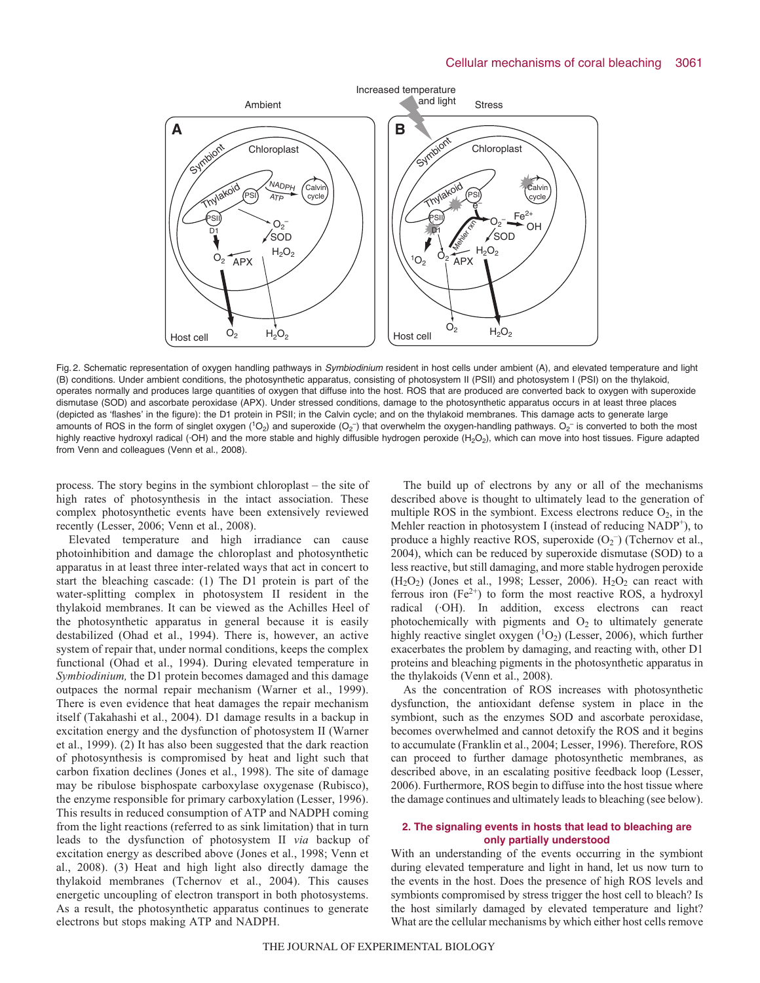

Fig. 2. Schematic representation of oxygen handling pathways in *Symbiodinium* resident in host cells under ambient (A), and elevated temperature and light (B) conditions. Under ambient conditions, the photosynthetic apparatus, consisting of photosystem II (PSII) and photosystem I (PSI) on the thylakoid, operates normally and produces large quantities of oxygen that diffuse into the host. ROS that are produced are converted back to oxygen with superoxide dismutase (SOD) and ascorbate peroxidase (APX). Under stressed conditions, damage to the photosynthetic apparatus occurs in at least three places (depicted as ʻflashes' in the figure): the D1 protein in PSII; in the Calvin cycle; and on the thylakoid membranes. This damage acts to generate large amounts of ROS in the form of singlet oxygen ( ${}^{1}O_{2}$ ) and superoxide ( $O_{2}^-$ ) that overwhelm the oxygen-handling pathways.  $O_{2}^-$  is converted to both the most highly reactive hydroxyl radical (·OH) and the more stable and highly diffusible hydrogen peroxide (H<sub>2</sub>O<sub>2</sub>), which can move into host tissues. Figure adapted from Venn and colleagues (Venn et al., 2008).

process. The story begins in the symbiont chloroplast – the site of high rates of photosynthesis in the intact association. These complex photosynthetic events have been extensively reviewed recently (Lesser, 2006; Venn et al., 2008).

Elevated temperature and high irradiance can cause photoinhibition and damage the chloroplast and photosynthetic apparatus in at least three inter-related ways that act in concert to start the bleaching cascade: (1) The D1 protein is part of the water-splitting complex in photosystem II resident in the thylakoid membranes. It can be viewed as the Achilles Heel of the photosynthetic apparatus in general because it is easily destabilized (Ohad et al., 1994). There is, however, an active system of repair that, under normal conditions, keeps the complex functional (Ohad et al., 1994). During elevated temperature in *Symbiodinium,* the D1 protein becomes damaged and this damage outpaces the normal repair mechanism (Warner et al., 1999). There is even evidence that heat damages the repair mechanism itself (Takahashi et al., 2004). D1 damage results in a backup in excitation energy and the dysfunction of photosystem II (Warner et al., 1999). (2) It has also been suggested that the dark reaction of photosynthesis is compromised by heat and light such that carbon fixation declines (Jones et al., 1998). The site of damage may be ribulose bisphospate carboxylase oxygenase (Rubisco), the enzyme responsible for primary carboxylation (Lesser, 1996). This results in reduced consumption of ATP and NADPH coming from the light reactions (referred to as sink limitation) that in turn leads to the dysfunction of photosystem II *via* backup of excitation energy as described above (Jones et al., 1998; Venn et al., 2008). (3) Heat and high light also directly damage the thylakoid membranes (Tchernov et al., 2004). This causes energetic uncoupling of electron transport in both photosystems. As a result, the photosynthetic apparatus continues to generate electrons but stops making ATP and NADPH.

The build up of electrons by any or all of the mechanisms described above is thought to ultimately lead to the generation of multiple ROS in the symbiont. Excess electrons reduce  $O_2$ , in the Mehler reaction in photosystem I (instead of reducing NADP<sup>+</sup>), to produce a highly reactive ROS, superoxide  $(O_2^-)$  (Tchernov et al., 2004), which can be reduced by superoxide dismutase (SOD) to a less reactive, but still damaging, and more stable hydrogen peroxide  $(H<sub>2</sub>O<sub>2</sub>)$  (Jones et al., 1998; Lesser, 2006).  $H<sub>2</sub>O<sub>2</sub>$  can react with ferrous iron (Fe<sup>2+</sup>) to form the most reactive ROS, a hydroxyl radical (·OH). In addition, excess electrons can react photochemically with pigments and  $O_2$  to ultimately generate highly reactive singlet oxygen  $(^1O_2)$  (Lesser, 2006), which further exacerbates the problem by damaging, and reacting with, other D1 proteins and bleaching pigments in the photosynthetic apparatus in the thylakoids (Venn et al., 2008).

As the concentration of ROS increases with photosynthetic dysfunction, the antioxidant defense system in place in the symbiont, such as the enzymes SOD and ascorbate peroxidase, becomes overwhelmed and cannot detoxify the ROS and it begins to accumulate (Franklin et al., 2004; Lesser, 1996). Therefore, ROS can proceed to further damage photosynthetic membranes, as described above, in an escalating positive feedback loop (Lesser, 2006). Furthermore, ROS begin to diffuse into the host tissue where the damage continues and ultimately leads to bleaching (see below).

# **2. The signaling events in hosts that lead to bleaching are only partially understood**

With an understanding of the events occurring in the symbiont during elevated temperature and light in hand, let us now turn to the events in the host. Does the presence of high ROS levels and symbionts compromised by stress trigger the host cell to bleach? Is the host similarly damaged by elevated temperature and light? What are the cellular mechanisms by which either host cells remove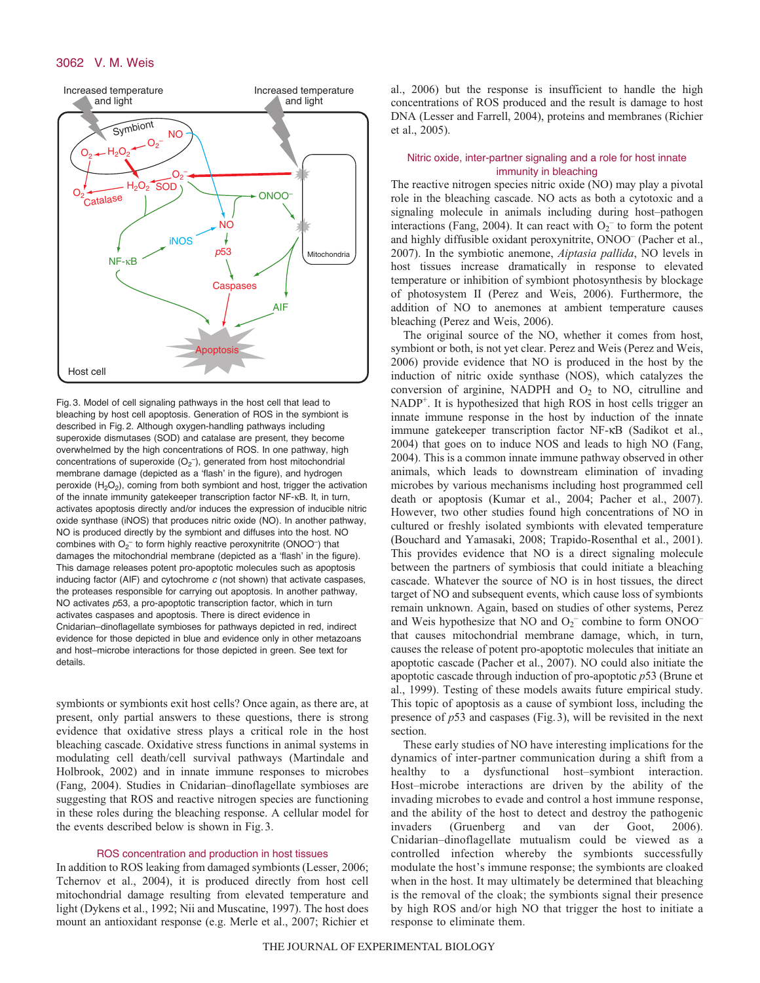# 3062 V. M. Weis



Fig. 3. Model of cell signaling pathways in the host cell that lead to bleaching by host cell apoptosis. Generation of ROS in the symbiont is described in Fig. 2. Although oxygen-handling pathways including superoxide dismutases (SOD) and catalase are present, they become overwhelmed by the high concentrations of ROS. In one pathway, high concentrations of superoxide  $(O_2^-)$ , generated from host mitochondrial membrane damage (depicted as a ʻflash' in the figure), and hydrogen peroxide  $(H_2O_2)$ , coming from both symbiont and host, trigger the activation of the innate immunity gatekeeper transcription factor NF-κB. It, in turn, activates apoptosis directly and/or induces the expression of inducible nitric oxide synthase (iNOS) that produces nitric oxide (NO). In another pathway, NO is produced directly by the symbiont and diffuses into the host. NO combines with  $O_2^-$  to form highly reactive peroxynitrite (ONOO $^-$ ) that damages the mitochondrial membrane (depicted as a ʻflash' in the figure). This damage releases potent pro-apoptotic molecules such as apoptosis inducing factor (AIF) and cytochrome  $c$  (not shown) that activate caspases, the proteases responsible for carrying out apoptosis. In another pathway, NO activates  $p53$ , a pro-apoptotic transcription factor, which in turn activates caspases and apoptosis. There is direct evidence in Cnidarian–dinoflagellate symbioses for pathways depicted in red, indirect evidence for those depicted in blue and evidence only in other metazoans and host–microbe interactions for those depicted in green. See text for details.

symbionts or symbionts exit host cells? Once again, as there are, at present, only partial answers to these questions, there is strong evidence that oxidative stress plays a critical role in the host bleaching cascade. Oxidative stress functions in animal systems in modulating cell death/cell survival pathways (Martindale and Holbrook, 2002) and in innate immune responses to microbes (Fang, 2004). Studies in Cnidarian–dinoflagellate symbioses are suggesting that ROS and reactive nitrogen species are functioning in these roles during the bleaching response. A cellular model for the events described below is shown in Fig.3.

#### ROS concentration and production in host tissues

In addition to ROS leaking from damaged symbionts (Lesser, 2006; Tchernov et al., 2004), it is produced directly from host cell mitochondrial damage resulting from elevated temperature and light (Dykens et al., 1992; Nii and Muscatine, 1997). The host does mount an antioxidant response (e.g. Merle et al., 2007; Richier et al., 2006) but the response is insufficient to handle the high concentrations of ROS produced and the result is damage to host DNA (Lesser and Farrell, 2004), proteins and membranes (Richier et al., 2005).

# Nitric oxide, inter-partner signaling and a role for host innate immunity in bleaching

The reactive nitrogen species nitric oxide (NO) may play a pivotal role in the bleaching cascade. NO acts as both a cytotoxic and a signaling molecule in animals including during host–pathogen interactions (Fang, 2004). It can react with  $O_2^-$  to form the potent and highly diffusible oxidant peroxynitrite, ONOO– (Pacher et al., 2007). In the symbiotic anemone, *Aiptasia pallida*, NO levels in host tissues increase dramatically in response to elevated temperature or inhibition of symbiont photosynthesis by blockage of photosystem II (Perez and Weis, 2006). Furthermore, the addition of NO to anemones at ambient temperature causes bleaching (Perez and Weis, 2006).

The original source of the NO, whether it comes from host, symbiont or both, is not yet clear. Perez and Weis (Perez and Weis, 2006) provide evidence that NO is produced in the host by the induction of nitric oxide synthase (NOS), which catalyzes the conversion of arginine, NADPH and  $O<sub>2</sub>$  to NO, citrulline and NADP<sup>+</sup>. It is hypothesized that high ROS in host cells trigger an innate immune response in the host by induction of the innate immune gatekeeper transcription factor NF-κB (Sadikot et al., 2004) that goes on to induce NOS and leads to high NO (Fang, 2004). This is a common innate immune pathway observed in other animals, which leads to downstream elimination of invading microbes by various mechanisms including host programmed cell death or apoptosis (Kumar et al., 2004; Pacher et al., 2007). However, two other studies found high concentrations of NO in cultured or freshly isolated symbionts with elevated temperature (Bouchard and Yamasaki, 2008; Trapido-Rosenthal et al., 2001). This provides evidence that NO is a direct signaling molecule between the partners of symbiosis that could initiate a bleaching cascade. Whatever the source of NO is in host tissues, the direct target of NO and subsequent events, which cause loss of symbionts remain unknown. Again, based on studies of other systems, Perez and Weis hypothesize that NO and  $O_2^-$  combine to form  $ONOO^$ that causes mitochondrial membrane damage, which, in turn, causes the release of potent pro-apoptotic molecules that initiate an apoptotic cascade (Pacher et al., 2007). NO could also initiate the apoptotic cascade through induction of pro-apoptotic *p*53 (Brune et al., 1999). Testing of these models awaits future empirical study. This topic of apoptosis as a cause of symbiont loss, including the presence of *p*53 and caspases (Fig.3), will be revisited in the next section.

These early studies of NO have interesting implications for the dynamics of inter-partner communication during a shift from a healthy to a dysfunctional host–symbiont interaction. Host–microbe interactions are driven by the ability of the invading microbes to evade and control a host immune response, and the ability of the host to detect and destroy the pathogenic<br>invaders (Gruenberg and van der Goot, 2006). invaders (Gruenberg and van der Goot, Cnidarian–dinoflagellate mutualism could be viewed as a controlled infection whereby the symbionts successfully modulate the host's immune response; the symbionts are cloaked when in the host. It may ultimately be determined that bleaching is the removal of the cloak; the symbionts signal their presence by high ROS and/or high NO that trigger the host to initiate a response to eliminate them.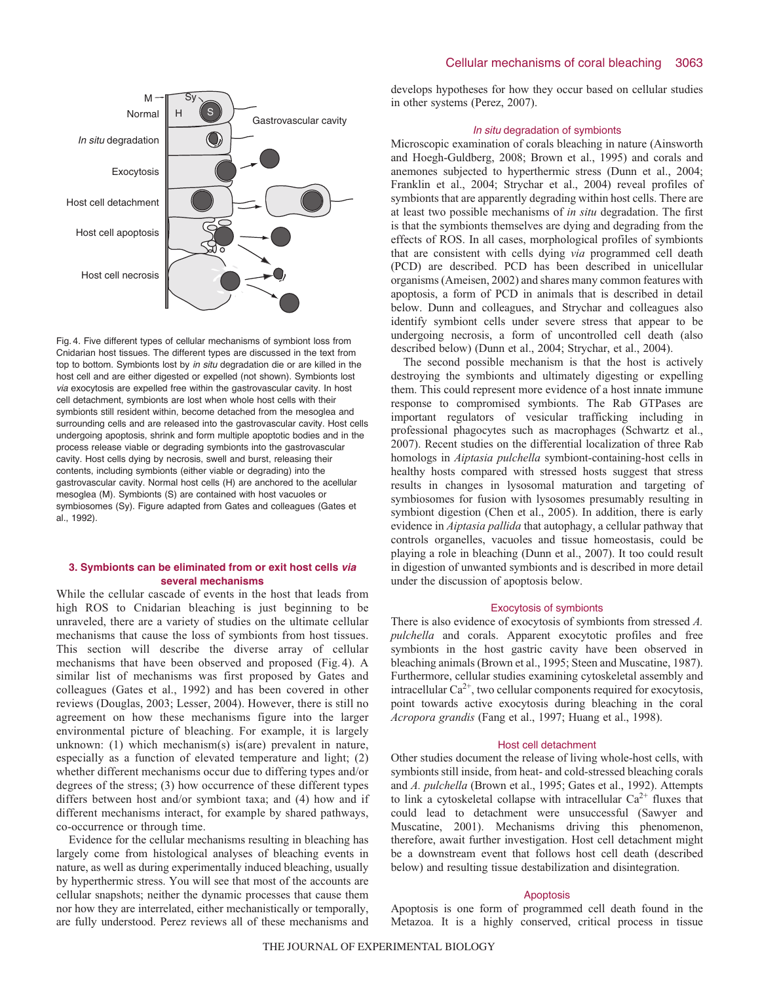# Cellular mechanisms of coral bleaching 3063



Fig. 4. Five different types of cellular mechanisms of symbiont loss from Cnidarian host tissues. The different types are discussed in the text from top to bottom. Symbionts lost by in situ degradation die or are killed in the host cell and are either digested or expelled (not shown). Symbionts lost via exocytosis are expelled free within the gastrovascular cavity. In host cell detachment, symbionts are lost when whole host cells with their symbionts still resident within, become detached from the mesoglea and surrounding cells and are released into the gastrovascular cavity. Host cells undergoing apoptosis, shrink and form multiple apoptotic bodies and in the process release viable or degrading symbionts into the gastrovascular cavity. Host cells dying by necrosis, swell and burst, releasing their contents, including symbionts (either viable or degrading) into the gastrovascular cavity. Normal host cells (H) are anchored to the acellular mesoglea (M). Symbionts (S) are contained with host vacuoles or symbiosomes (Sy). Figure adapted from Gates and colleagues (Gates et al., 1992).

# **3. Symbionts can be eliminated from or exit host cells** *via* **several mechanisms**

While the cellular cascade of events in the host that leads from high ROS to Cnidarian bleaching is just beginning to be unraveled, there are a variety of studies on the ultimate cellular mechanisms that cause the loss of symbionts from host tissues. This section will describe the diverse array of cellular mechanisms that have been observed and proposed (Fig.4). A similar list of mechanisms was first proposed by Gates and colleagues (Gates et al., 1992) and has been covered in other reviews (Douglas, 2003; Lesser, 2004). However, there is still no agreement on how these mechanisms figure into the larger environmental picture of bleaching. For example, it is largely unknown: (1) which mechanism(s) is(are) prevalent in nature, especially as a function of elevated temperature and light; (2) whether different mechanisms occur due to differing types and/or degrees of the stress; (3) how occurrence of these different types differs between host and/or symbiont taxa; and (4) how and if different mechanisms interact, for example by shared pathways, co-occurrence or through time.

Evidence for the cellular mechanisms resulting in bleaching has largely come from histological analyses of bleaching events in nature, as well as during experimentally induced bleaching, usually by hyperthermic stress. You will see that most of the accounts are cellular snapshots; neither the dynamic processes that cause them nor how they are interrelated, either mechanistically or temporally, are fully understood. Perez reviews all of these mechanisms and develops hypotheses for how they occur based on cellular studies in other systems (Perez, 2007).

#### In situ degradation of symbionts

Microscopic examination of corals bleaching in nature (Ainsworth and Hoegh-Guldberg, 2008; Brown et al., 1995) and corals and anemones subjected to hyperthermic stress (Dunn et al., 2004; Franklin et al., 2004; Strychar et al., 2004) reveal profiles of symbionts that are apparently degrading within host cells. There are at least two possible mechanisms of *in situ* degradation. The first is that the symbionts themselves are dying and degrading from the effects of ROS. In all cases, morphological profiles of symbionts that are consistent with cells dying *via* programmed cell death (PCD) are described. PCD has been described in unicellular organisms (Ameisen, 2002) and shares many common features with apoptosis, a form of PCD in animals that is described in detail below. Dunn and colleagues, and Strychar and colleagues also identify symbiont cells under severe stress that appear to be undergoing necrosis, a form of uncontrolled cell death (also described below) (Dunn et al., 2004; Strychar, et al., 2004).

The second possible mechanism is that the host is actively destroying the symbionts and ultimately digesting or expelling them. This could represent more evidence of a host innate immune response to compromised symbionts. The Rab GTPases are important regulators of vesicular trafficking including in professional phagocytes such as macrophages (Schwartz et al., 2007). Recent studies on the differential localization of three Rab homologs in *Aiptasia pulchella* symbiont-containing-host cells in healthy hosts compared with stressed hosts suggest that stress results in changes in lysosomal maturation and targeting of symbiosomes for fusion with lysosomes presumably resulting in symbiont digestion (Chen et al., 2005). In addition, there is early evidence in *Aiptasia pallida* that autophagy, a cellular pathway that controls organelles, vacuoles and tissue homeostasis, could be playing a role in bleaching (Dunn et al., 2007). It too could result in digestion of unwanted symbionts and is described in more detail under the discussion of apoptosis below.

### Exocytosis of symbionts

There is also evidence of exocytosis of symbionts from stressed *A. pulchella* and corals. Apparent exocytotic profiles and free symbionts in the host gastric cavity have been observed in bleaching animals (Brown et al., 1995; Steen and Muscatine, 1987). Furthermore, cellular studies examining cytoskeletal assembly and intracellular  $Ca^{2+}$ , two cellular components required for exocytosis, point towards active exocytosis during bleaching in the coral *Acropora grandis* (Fang et al., 1997; Huang et al., 1998).

#### Host cell detachment

Other studies document the release of living whole-host cells, with symbionts still inside, from heat- and cold-stressed bleaching corals and *A. pulchella* (Brown et al., 1995; Gates et al., 1992). Attempts to link a cytoskeletal collapse with intracellular  $Ca^{2+}$  fluxes that could lead to detachment were unsuccessful (Sawyer and Muscatine, 2001). Mechanisms driving this phenomenon, therefore, await further investigation. Host cell detachment might be a downstream event that follows host cell death (described below) and resulting tissue destabilization and disintegration.

### Apoptosis

Apoptosis is one form of programmed cell death found in the Metazoa. It is a highly conserved, critical process in tissue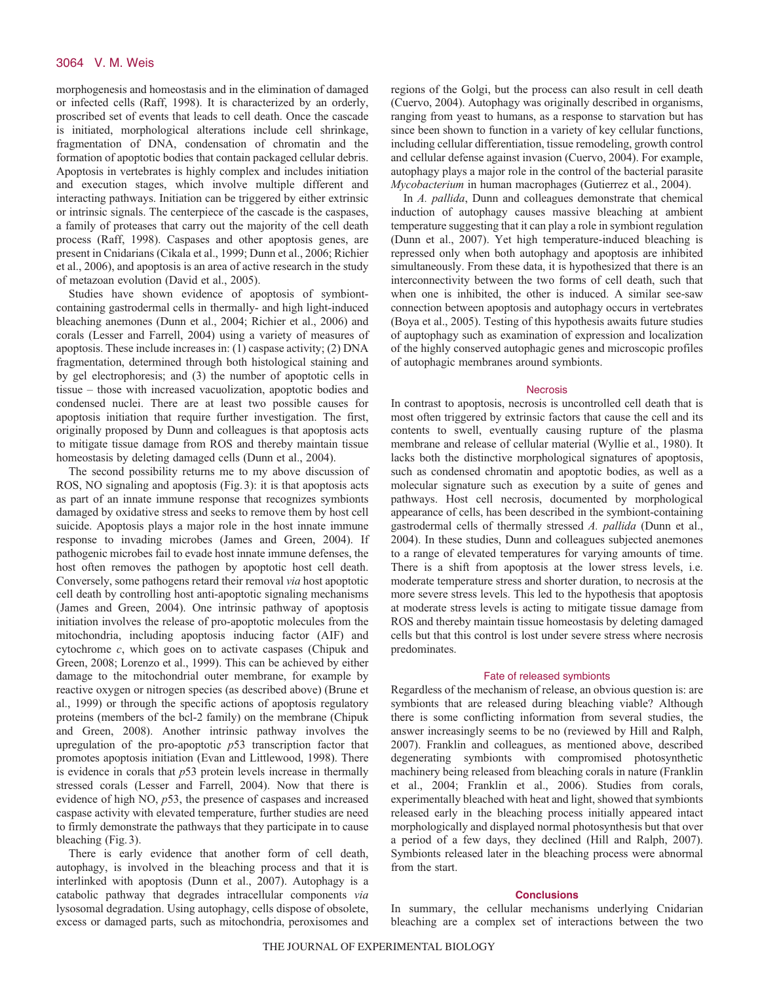morphogenesis and homeostasis and in the elimination of damaged or infected cells (Raff, 1998). It is characterized by an orderly, proscribed set of events that leads to cell death. Once the cascade is initiated, morphological alterations include cell shrinkage, fragmentation of DNA, condensation of chromatin and the formation of apoptotic bodies that contain packaged cellular debris. Apoptosis in vertebrates is highly complex and includes initiation and execution stages, which involve multiple different and interacting pathways. Initiation can be triggered by either extrinsic or intrinsic signals. The centerpiece of the cascade is the caspases, a family of proteases that carry out the majority of the cell death process (Raff, 1998). Caspases and other apoptosis genes, are present in Cnidarians (Cikala et al., 1999; Dunn et al., 2006; Richier et al., 2006), and apoptosis is an area of active research in the study of metazoan evolution (David et al., 2005).

Studies have shown evidence of apoptosis of symbiontcontaining gastrodermal cells in thermally- and high light-induced bleaching anemones (Dunn et al., 2004; Richier et al., 2006) and corals (Lesser and Farrell, 2004) using a variety of measures of apoptosis. These include increases in: (1) caspase activity; (2) DNA fragmentation, determined through both histological staining and by gel electrophoresis; and (3) the number of apoptotic cells in tissue – those with increased vacuolization, apoptotic bodies and condensed nuclei. There are at least two possible causes for apoptosis initiation that require further investigation. The first, originally proposed by Dunn and colleagues is that apoptosis acts to mitigate tissue damage from ROS and thereby maintain tissue homeostasis by deleting damaged cells (Dunn et al., 2004).

The second possibility returns me to my above discussion of ROS, NO signaling and apoptosis (Fig.3): it is that apoptosis acts as part of an innate immune response that recognizes symbionts damaged by oxidative stress and seeks to remove them by host cell suicide. Apoptosis plays a major role in the host innate immune response to invading microbes (James and Green, 2004). If pathogenic microbes fail to evade host innate immune defenses, the host often removes the pathogen by apoptotic host cell death. Conversely, some pathogens retard their removal *via* host apoptotic cell death by controlling host anti-apoptotic signaling mechanisms (James and Green, 2004). One intrinsic pathway of apoptosis initiation involves the release of pro-apoptotic molecules from the mitochondria, including apoptosis inducing factor (AIF) and cytochrome *c*, which goes on to activate caspases (Chipuk and Green, 2008; Lorenzo et al., 1999). This can be achieved by either damage to the mitochondrial outer membrane, for example by reactive oxygen or nitrogen species (as described above) (Brune et al., 1999) or through the specific actions of apoptosis regulatory proteins (members of the bcl-2 family) on the membrane (Chipuk and Green, 2008). Another intrinsic pathway involves the upregulation of the pro-apoptotic *p*53 transcription factor that promotes apoptosis initiation (Evan and Littlewood, 1998). There is evidence in corals that *p*53 protein levels increase in thermally stressed corals (Lesser and Farrell, 2004). Now that there is evidence of high NO, *p*53, the presence of caspases and increased caspase activity with elevated temperature, further studies are need to firmly demonstrate the pathways that they participate in to cause bleaching (Fig.3).

There is early evidence that another form of cell death, autophagy, is involved in the bleaching process and that it is interlinked with apoptosis (Dunn et al., 2007). Autophagy is a catabolic pathway that degrades intracellular components *via* lysosomal degradation. Using autophagy, cells dispose of obsolete, excess or damaged parts, such as mitochondria, peroxisomes and regions of the Golgi, but the process can also result in cell death (Cuervo, 2004). Autophagy was originally described in organisms, ranging from yeast to humans, as a response to starvation but has since been shown to function in a variety of key cellular functions, including cellular differentiation, tissue remodeling, growth control and cellular defense against invasion (Cuervo, 2004). For example, autophagy plays a major role in the control of the bacterial parasite *Mycobacterium* in human macrophages (Gutierrez et al., 2004).

In *A. pallida*, Dunn and colleagues demonstrate that chemical induction of autophagy causes massive bleaching at ambient temperature suggesting that it can play a role in symbiont regulation (Dunn et al., 2007). Yet high temperature-induced bleaching is repressed only when both autophagy and apoptosis are inhibited simultaneously. From these data, it is hypothesized that there is an interconnectivity between the two forms of cell death, such that when one is inhibited, the other is induced. A similar see-saw connection between apoptosis and autophagy occurs in vertebrates (Boya et al., 2005). Testing of this hypothesis awaits future studies of auptophagy such as examination of expression and localization of the highly conserved autophagic genes and microscopic profiles of autophagic membranes around symbionts.

#### Necrosis

In contrast to apoptosis, necrosis is uncontrolled cell death that is most often triggered by extrinsic factors that cause the cell and its contents to swell, eventually causing rupture of the plasma membrane and release of cellular material (Wyllie et al., 1980). It lacks both the distinctive morphological signatures of apoptosis, such as condensed chromatin and apoptotic bodies, as well as a molecular signature such as execution by a suite of genes and pathways. Host cell necrosis, documented by morphological appearance of cells, has been described in the symbiont-containing gastrodermal cells of thermally stressed *A. pallida* (Dunn et al., 2004). In these studies, Dunn and colleagues subjected anemones to a range of elevated temperatures for varying amounts of time. There is a shift from apoptosis at the lower stress levels, i.e. moderate temperature stress and shorter duration, to necrosis at the more severe stress levels. This led to the hypothesis that apoptosis at moderate stress levels is acting to mitigate tissue damage from ROS and thereby maintain tissue homeostasis by deleting damaged cells but that this control is lost under severe stress where necrosis predominates.

#### Fate of released symbionts

Regardless of the mechanism of release, an obvious question is: are symbionts that are released during bleaching viable? Although there is some conflicting information from several studies, the answer increasingly seems to be no (reviewed by Hill and Ralph, 2007). Franklin and colleagues, as mentioned above, described degenerating symbionts with compromised photosynthetic machinery being released from bleaching corals in nature (Franklin et al., 2004; Franklin et al., 2006). Studies from corals, experimentally bleached with heat and light, showed that symbionts released early in the bleaching process initially appeared intact morphologically and displayed normal photosynthesis but that over a period of a few days, they declined (Hill and Ralph, 2007). Symbionts released later in the bleaching process were abnormal from the start.

#### **Conclusions**

In summary, the cellular mechanisms underlying Cnidarian bleaching are a complex set of interactions between the two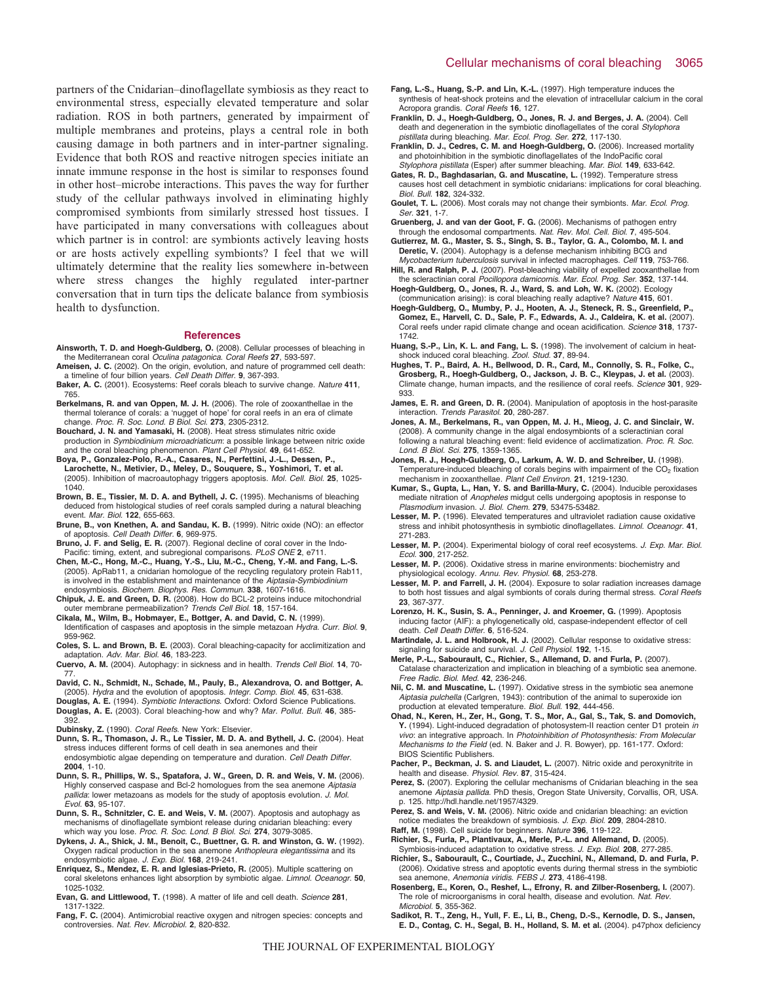partners of the Cnidarian–dinoflagellate symbiosis as they react to environmental stress, especially elevated temperature and solar radiation. ROS in both partners, generated by impairment of multiple membranes and proteins, plays a central role in both causing damage in both partners and in inter-partner signaling. Evidence that both ROS and reactive nitrogen species initiate an innate immune response in the host is similar to responses found in other host–microbe interactions. This paves the way for further study of the cellular pathways involved in eliminating highly compromised symbionts from similarly stressed host tissues. I have participated in many conversations with colleagues about which partner is in control: are symbionts actively leaving hosts or are hosts actively expelling symbionts? I feel that we will ultimately determine that the reality lies somewhere in-between where stress changes the highly regulated inter-partner conversation that in turn tips the delicate balance from symbiosis health to dysfunction.

#### **References**

- **Ainsworth, T. D. and Hoegh-Guldberg, O.** (2008). Cellular processes of bleaching in the Mediterranean coral Oculina patagonica. Coral Reefs **27**, 593-597.
- **Ameisen, J. C.** (2002). On the origin, evolution, and nature of programmed cell death: a timeline of four billion years. Cell Death Differ. **9**, 367-393.
- **Baker, A. C.** (2001). Ecosystems: Reef corals bleach to survive change. Nature **411**, 765.
- **Berkelmans, R. and van Oppen, M. J. H.** (2006). The role of zooxanthellae in the thermal tolerance of corals: a ʻnugget of hope' for coral reefs in an era of climate change. Proc. R. Soc. Lond. B Biol. Sci. **273**, 2305-2312.
- **Bouchard, J. N. and Yamasaki, H.** (2008). Heat stress stimulates nitric oxide production in Symbiodinium microadriaticum: a possible linkage between nitric oxide and the coral bleaching phenomenon. Plant Cell Physiol. **49**, 641-652.
- **Boya, P., Gonzalez-Polo, R.-A., Casares, N., Perfettini, J.-L., Dessen, P., Larochette, N., Metivier, D., Meley, D., Souquere, S., Yoshimori, T. et al.** (2005). Inhibition of macroautophagy triggers apoptosis. Mol. Cell. Biol. **25**, 1025- 1040.
- **Brown, B. E., Tissier, M. D. A. and Bythell, J. C.** (1995). Mechanisms of bleaching deduced from histological studies of reef corals sampled during a natural bleaching event. Mar. Biol. **122**, 655-663.
- **Brune, B., von Knethen, A. and Sandau, K. B.** (1999). Nitric oxide (NO): an effector of apoptosis. Cell Death Differ. **6**, 969-975.
- **Bruno, J. F. and Selig, E. R.** (2007). Regional decline of coral cover in the Indo-Pacific: timing, extent, and subregional comparisons. PLoS ONE **2**, e711.
- **Chen, M.-C., Hong, M.-C., Huang, Y.-S., Liu, M.-C., Cheng, Y.-M. and Fang, L.-S.** (2005). ApRab11, a cnidarian homologue of the recycling regulatory protein Rab11, is involved in the establishment and maintenance of the Aiptasia-Symbiodinium endosymbiosis. Biochem. Biophys. Res. Commun. **338**, 1607-1616.

**Chipuk, J. E. and Green, D. R.** (2008). How do BCL-2 proteins induce mitochondrial outer membrane permeabilization? Trends Cell Biol. **18**, 157-164.

**Cikala, M., Wilm, B., Hobmayer, E., Bottger, A. and David, C. N.** (1999). Identification of caspases and apoptosis in the simple metazoan Hydra. Curr. Biol. **9**, 959-962.

**Coles, S. L. and Brown, B. E.** (2003). Coral bleaching-capacity for acclimitization and adaptation. Adv. Mar. Biol. **46**, 183-223.

**Cuervo, A. M.** (2004). Autophagy: in sickness and in health. Trends Cell Biol. **14**, 70- 77.

- **David, C. N., Schmidt, N., Schade, M., Pauly, B., Alexandrova, O. and Bottger, A.** (2005). Hydra and the evolution of apoptosis. Integr. Comp. Biol. **45**, 631-638.
- **Douglas, A. E.** (1994). Symbiotic Interactions. Oxford: Oxford Science Publications.
- **Douglas, A. E.** (2003). Coral bleaching-how and why? Mar. Pollut. Bull. **46**, 385- 392.
- **Dubinsky, Z.** (1990). Coral Reefs. New York: Elsevier.

**Dunn, S. R., Thomason, J. R., Le Tissier, M. D. A. and Bythell, J. C.** (2004). Heat stress induces different forms of cell death in sea anemones and their endosymbiotic algae depending on temperature and duration. Cell Death Differ.

- **2004**, 1-10. **Dunn, S. R., Phillips, W. S., Spatafora, J. W., Green, D. R. and Weis, V. M.** (2006). Highly conserved caspase and Bcl-2 homologues from the sea anemone Aiptasia pallida: lower metazoans as models for the study of apoptosis evolution. J. Mol. Evol. **63**, 95-107.
- **Dunn, S. R., Schnitzler, C. E. and Weis, V. M.** (2007). Apoptosis and autophagy as mechanisms of dinoflagellate symbiont release during cnidarian bleaching: every which way you lose. Proc. R. Soc. Lond. B Biol. Sci. **274**, 3079-3085.
- **Dykens, J. A., Shick, J. M., Benoit, C., Buettner, G. R. and Winston, G. W.** (1992). Oxygen radical production in the sea anemone Anthopleura elegantissima and its endosymbiotic algae. J. Exp. Biol. **168**, 219-241.
- **Enriquez, S., Mendez, E. R. and Iglesias-Prieto, R.** (2005). Multiple scattering on coral skeletons enhances light absorption by symbiotic algae. Limnol. Oceanogr. **50**, 1025-1032.
- **Evan, G. and Littlewood, T.** (1998). A matter of life and cell death. Science **281**, 1317-1322.

**Fang, F. C.** (2004). Antimicrobial reactive oxygen and nitrogen species: concepts and controversies. Nat. Rev. Microbiol. **2**, 820-832.

# Cellular mechanisms of coral bleaching 3065

- **Fang, L.-S., Huang, S.-P. and Lin, K.-L.** (1997). High temperature induces the synthesis of heat-shock proteins and the elevation of intracellular calcium in the coral Acropora grandis. Coral Reefs **16**, 127.
- **Franklin, D. J., Hoegh-Guldberg, O., Jones, R. J. and Berges, J. A.** (2004). Cell death and degeneration in the symbiotic dinoflagellates of the coral Stylophora pistillata during bleaching. Mar. Ecol. Prog. Ser. **272**, 117-130.
- **Franklin, D. J., Cedres, C. M. and Hoegh-Guldberg, O.** (2006). Increased mortality and photoinhibition in the symbiotic dinoflagellates of the IndoPacific coral Stylophora pistillata (Esper) after summer bleaching. Mar. Biol. **149**, 633-642.
- **Gates, R. D., Baghdasarian, G. and Muscatine, L.** (1992). Temperature stress causes host cell detachment in symbiotic cnidarians: implications for coral bleaching. Biol. Bull. **182**, 324-332.
- **Goulet, T. L.** (2006). Most corals may not change their symbionts. Mar. Ecol. Prog. Ser. **321**, 1-7.
- **Gruenberg, J. and van der Goot, F. G.** (2006). Mechanisms of pathogen entry through the endosomal compartments. Nat. Rev. Mol. Cell. Biol. **7**, 495-504.
- **Gutierrez, M. G., Master, S. S., Singh, S. B., Taylor, G. A., Colombo, M. I. and Deretic, V.** (2004). Autophagy is a defense mechanism inhibiting BCG and Mycobacterium tuberculosis survival in infected macrophages. Cell **119**, 753-766.
- **Hill, R. and Ralph, P. J.** (2007). Post-bleaching viability of expelled zooxanthellae from the scleractinian coral Pocillopora damicornis. Mar. Ecol. Prog. Ser. **352**, 137-144.
- **Hoegh-Guldberg, O., Jones, R. J., Ward, S. and Loh, W. K.** (2002). Ecology (communication arising): is coral bleaching really adaptive? Nature **415**, 601.
- **Hoegh-Guldberg, O., Mumby, P. J., Hooten, A. J., Steneck, R. S., Greenfield, P., Gomez, E., Harvell, C. D., Sale, P. F., Edwards, A. J., Caldeira, K. et al.** (2007). Coral reefs under rapid climate change and ocean acidification. Science **318**, 1737- 1742.
- **Huang, S.-P., Lin, K. L. and Fang, L. S.** (1998). The involvement of calcium in heatshock induced coral bleaching. Zool. Stud. **37**, 89-94.
- **Hughes, T. P., Baird, A. H., Bellwood, D. R., Card, M., Connolly, S. R., Folke, C., Grosberg, R., Hoegh-Guldberg, O., Jackson, J. B. C., Kleypas, J. et al.** (2003). Climate change, human impacts, and the resilience of coral reefs. Science **301**, 929- 933.
- **James, E. R. and Green, D. R.** (2004). Manipulation of apoptosis in the host-parasite interaction. Trends Parasitol. **20**, 280-287.
- **Jones, A. M., Berkelmans, R., van Oppen, M. J. H., Mieog, J. C. and Sinclair, W.** (2008). A community change in the algal endosymbionts of a scleractinian coral following a natural bleaching event: field evidence of acclimatization. Proc. R. Soc. Lond. B Biol. Sci. **275**, 1359-1365.
- **Jones, R. J., Hoegh-Guldberg, O., Larkum, A. W. D. and Schreiber, U.** (1998). Temperature-induced bleaching of corals begins with impairment of the  $CO<sub>2</sub>$  fixation mechanism in zooxanthellae. Plant Cell Environ. **21**, 1219-1230.
- **Kumar, S., Gupta, L., Han, Y. S. and Barilla-Mury, C.** (2004). Inducible peroxidases mediate nitration of Anopheles midgut cells undergoing apoptosis in response to Plasmodium invasion. J. Biol. Chem. **279**, 53475-53482.
- Lesser, M. P. (1996). Elevated temperatures and ultraviolet radiation cause oxidative stress and inhibit photosynthesis in symbiotic dinoflagellates. Limnol. Oceanogr. **41**, 271-283.
- **Lesser, M. P.** (2004). Experimental biology of coral reef ecosystems. J. Exp. Mar. Biol. Ecol. **300**, 217-252.
- **Lesser, M. P.** (2006). Oxidative stress in marine environments: biochemistry and physiological ecology. Annu. Rev. Physiol. **68**, 253-278.
- **Lesser, M. P. and Farrell, J. H.** (2004). Exposure to solar radiation increases damage to both host tissues and algal symbionts of corals during thermal stress. Coral Reefs **23**, 367-377.
- **Lorenzo, H. K., Susin, S. A., Penninger, J. and Kroemer, G.** (1999). Apoptosis inducing factor (AIF): a phylogenetically old, caspase-independent effector of cell death. Cell Death Differ. **6**, 516-524.
- **Martindale, J. L. and Holbrook, H. J.** (2002). Cellular response to oxidative stress: signaling for suicide and survival. J. Cell Physiol. **192**, 1-15.
- **Merle, P.-L., Sabourault, C., Richier, S., Allemand, D. and Furla, P.** (2007). Catalase characterization and implication in bleaching of a symbiotic sea anemone. Free Radic. Biol. Med. **42**, 236-246.
- **Nii, C. M. and Muscatine, L.** (1997). Oxidative stress in the symbiotic sea anemone Aiptasia pulchella (Carlgren, 1943): contribution of the animal to superoxide ion production at elevated temperature. Biol. Bull. **192**, 444-456.
- **Ohad, N., Keren, H., Zer, H., Gong, T. S., Mor, A., Gal, S., Tak, S. and Domovich, Y.** (1994). Light-induced degradation of photosystem-II reaction center D1 protein in vivo: an integrative approach. In Photoinhibition of Photosynthesis: From Molecular Mechanisms to the Field (ed. N. Baker and J. R. Bowyer), pp. 161-177. Oxford: BIOS Scientific Publishers.
- Pacher, P., Beckman, J. S. and Liaudet, L. (2007). Nitric oxide and peroxynitrite in health and disease. Physiol. Rev. **87**, 315-424.
- Perez, S. (2007). Exploring the cellular mechanisms of Cnidarian bleaching in the sea anemone Aiptasia pallida. PhD thesis, Oregon State University, Corvallis, OR, USA. p. 125. http://hdl.handle.net/1957/4329.
- **Perez, S. and Weis, V. M.** (2006). Nitric oxide and cnidarian bleaching: an eviction notice mediates the breakdown of symbiosis. J. Exp. Biol. **209**, 2804-2810.
- **Raff, M.** (1998). Cell suicide for beginners. Nature **396**, 119-122. **Richier, S., Furla, P., Plantivaux, A., Merle, P.-L. and Allemand, D.** (2005).
- Symbiosis-induced adaptation to oxidative stress. J. Exp. Biol. **208**, 277-285.
- **Richier, S., Sabourault, C., Courtiade, J., Zucchini, N., Allemand, D. and Furla, P.** (2006). Oxidative stress and apoptotic events during thermal stress in the symbiotic sea anemone, Anemonia viridis. FEBS J. **273**, 4186-4198.
- **Rosenberg, E., Koren, O., Reshef, L., Efrony, R. and Zilber-Rosenberg, I.** (2007). The role of microorganisms in coral health, disease and evolution. Nat. Rev. Microbiol. **5**, 355-362.
- **Sadikot, R. T., Zeng, H., Yull, F. E., Li, B., Cheng, D.-S., Kernodle, D. S., Jansen, E. D., Contag, C. H., Segal, B. H., Holland, S. M. et al.** (2004). p47phox deficiency